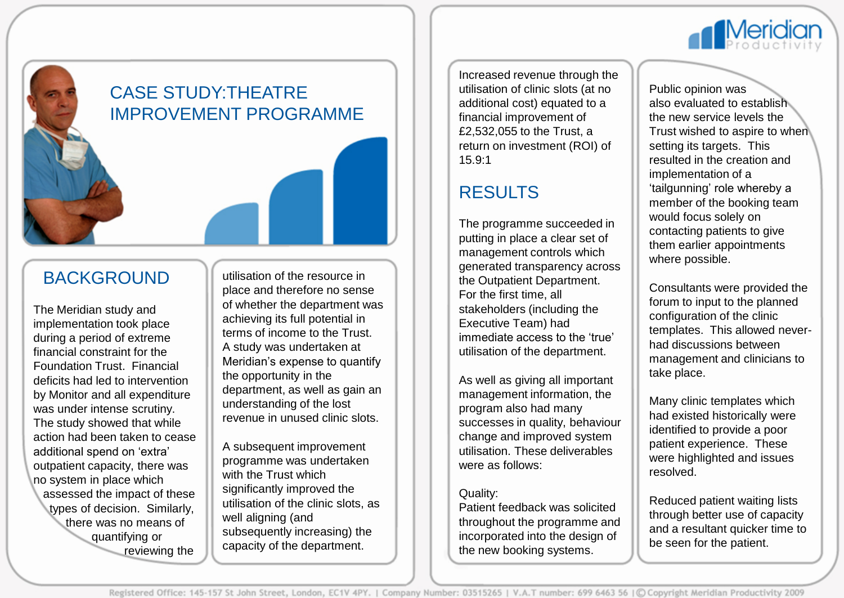

# CASE STUDY:THEATRE IMPROVEMENT PROGRAMME

### BACKGROUND

The Meridian study and implementation took place during a period of extreme financial constraint for the Foundation Trust. Financial deficits had led to intervention by Monitor and all expenditure was under intense scrutiny. The study showed that while action had been taken to cease additional spend on 'extra' outpatient capacity, there was no system in place which assessed the impact of these types of decision. Similarly, there was no means of quantifying or reviewing the

utilisation of the resource in place and therefore no sense of whether the department was achieving its full potential in terms of income to the Trust. A study was undertaken at Meridian's expense to quantify the opportunity in the department, as well as gain an understanding of the lost revenue in unused clinic slots.

A subsequent improvement programme was undertaken with the Trust which significantly improved the utilisation of the clinic slots, as well aligning (and subsequently increasing) the capacity of the department.

Increased revenue through the utilisation of clinic slots (at no additional cost) equated to a financial improvement of £2,532,055 to the Trust, a return on investment (ROI) of 15.9:1

## RESULTS

The programme succeeded in putting in place a clear set of management controls which generated transparency across the Outpatient Department. For the first time, all stakeholders (including the Executive Team) had immediate access to the 'true' utilisation of the department.

As well as giving all important management information, the program also had many successes in quality, behaviour change and improved system utilisation. These deliverables were as follows:

#### Quality:

Patient feedback was solicited throughout the programme and incorporated into the design of the new booking systems.

Public opinion was also evaluated to establish the new service levels the Trust wished to aspire to when setting its targets. This resulted in the creation and implementation of a 'tailgunning' role whereby a member of the booking team would focus solely on contacting patients to give them earlier appointments where possible.

Consultants were provided the forum to input to the planned configuration of the clinic templates. This allowed neverhad discussions between management and clinicians to take place.

Many clinic templates which had existed historically were identified to provide a poor patient experience. These were highlighted and issues resolved.

Reduced patient waiting lists through better use of capacity and a resultant quicker time to be seen for the patient.